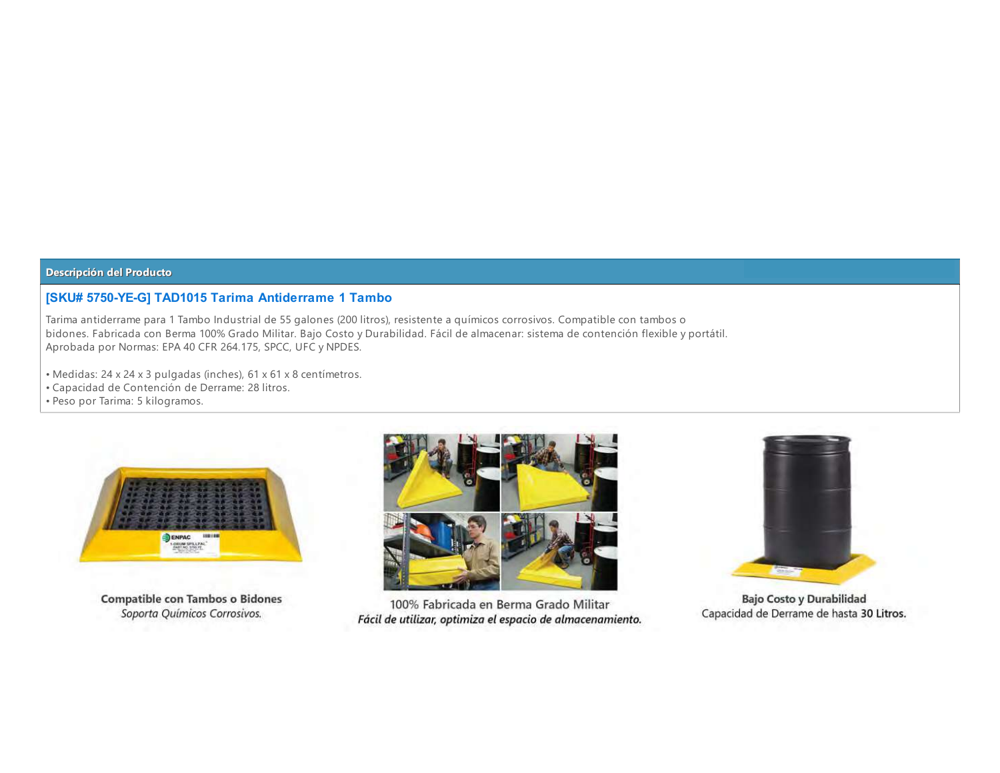### **ISKU# 5750-YE-GI TAD1015 Tarima Antiderrame 1 Tambo**

Tarima antiderrame para 1 Tambo Industrial de 55 galones (200 litros), resistente a químicos corrosivos. Compatible con tambos o bidones. Fabricada con Berma 100% Grado Militar. Bajo Costo y Durabilidad. Fácil de almacenar: sistema de contención flexible y portátil. Aprobada por Normas: EPA 40 CFR 264.175, SPCC, UFC y NPDES.

- · Medidas: 24 x 24 x 3 pulgadas (inches), 61 x 61 x 8 centímetros.
- Capacidad de Contención de Derrame: 28 litros.
- · Peso por Tarima: 5 kilogramos.



**Compatible con Tambos o Bidones** Soporta Químicos Corrosivos.



100% Fabricada en Berma Grado Militar Fácil de utilizar, optimiza el espacio de almacenamiento.



**Bajo Costo y Durabilidad** Capacidad de Derrame de hasta 30 Litros.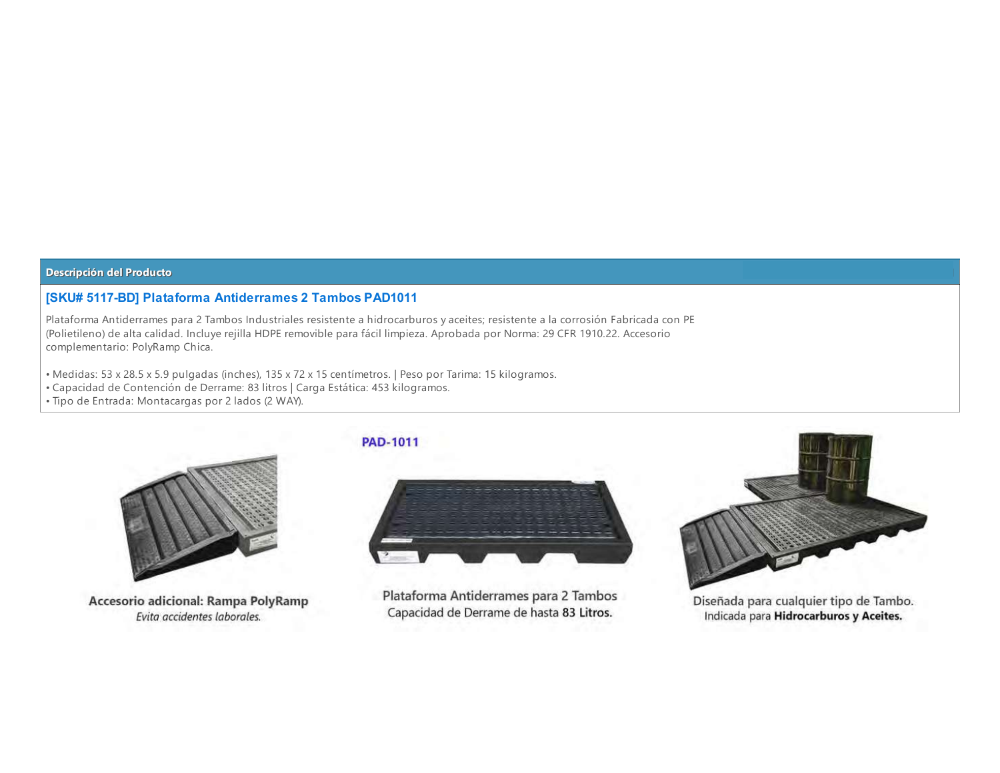### **[SKU# 5117-BD] Plataforma Antiderrames 2 Tambos PAD1011**

Plataforma Antiderrames para 2 Tambos Industriales resistente a hidrocarburos y aceites; resistente a la corrosión Fabricada con PE (Polietileno) de alta calidad. Incluye rejilla HDPE removible para fácil limpieza. Aprobada por Norma: 29 CFR 1910.22. Accesorio complementario: PolyRamp Chica.

- Medidas: 53 x 28.5 x 5.9 pulgadas (inches), 135 x 72 x 15 centímetros. | Peso por Tarima: 15 kilogramos.
- · Capacidad de Contención de Derrame: 83 litros | Carga Estática: 453 kilogramos.
- · Tipo de Entrada: Montacargas por 2 lados (2 WAY).



Accesorio adicional: Rampa PolyRamp Evita accidentes laborales.

# **PAD-1011**



Plataforma Antiderrames para 2 Tambos Capacidad de Derrame de hasta 83 Litros.



Diseñada para cualquier tipo de Tambo. Indicada para Hidrocarburos y Aceites.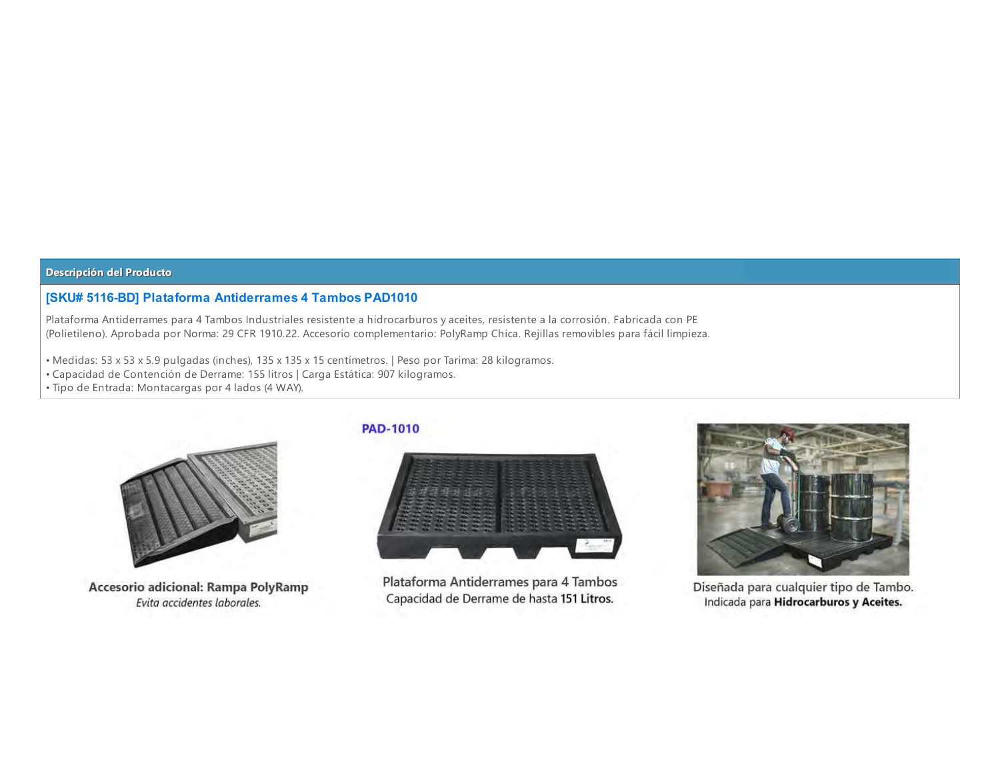### **[SKU# 5116-BD] Plataforma Antiderrames 4 Tambos PAD1010**

Plataforma Antiderrames para 4 Tambos Industriales resistente a hidrocarburos y aceites, resistente a la corrosión. Fabricada con PE (Polietileno). Aprobada por Norma: 29 CFR 1910.22. Accesorio complementario: PolyRamp Chica. Rejillas removibles para fácil limpieza.

- Medidas: 53 x 53 x 5.9 pulgadas (inches), 135 x 135 x 15 centímetros. | Peso por Tarima: 28 kilogramos.
- Capacidad de Contención de Derrame: 155 litros | Carga Estática: 907 kilogramos.
- · Tipo de Entrada: Montacargas por 4 lados (4 WAY).



Accesorio adicional: Rampa PolyRamp Evita accidentes laborales.

#### **PAD-1010**



Plataforma Antiderrames para 4 Tambos Capacidad de Derrame de hasta 151 Litros.



Diseñada para cualquier tipo de Tambo. Indicada para Hidrocarburos y Aceites.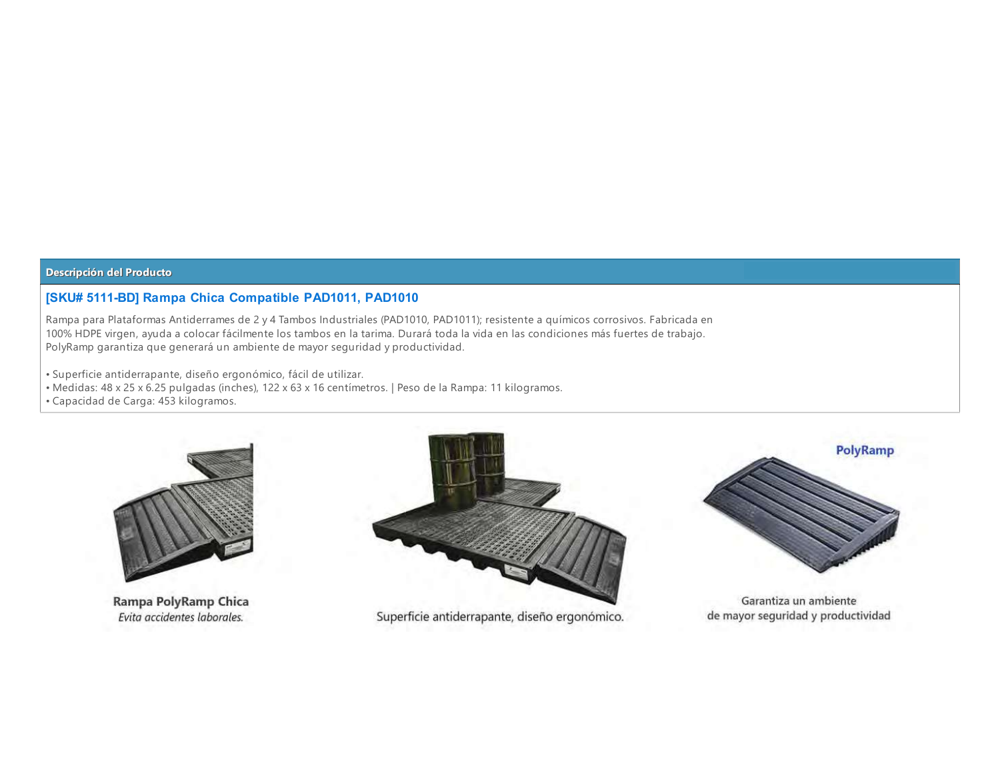# **[SKU# 5111-BD] Rampa Chica Compatible PAD1011, PAD1010**

Rampa para Plataformas Antiderrames de 2 y 4 Tambos Industriales (PAD1010, PAD1011); resistente a químicos corrosivos. Fabricada en 100% HDPE virgen, ayuda a colocar fácilmente los tambos en la tarima. Durará toda la vida en las condiciones más fuertes de trabajo. PolyRamp garantiza que generará un ambiente de mayor seguridad y productividad.

· Superficie antiderrapante, diseño ergonómico, fácil de utilizar.

- · Medidas: 48 x 25 x 6.25 pulgadas (inches), 122 x 63 x 16 centímetros. | Peso de la Rampa: 11 kilogramos.
- · Capacidad de Carga: 453 kilogramos.



Rampa PolyRamp Chica Evita accidentes laborales.



Superficie antiderrapante, diseño ergonómico.



Garantiza un ambiente de mayor seguridad y productividad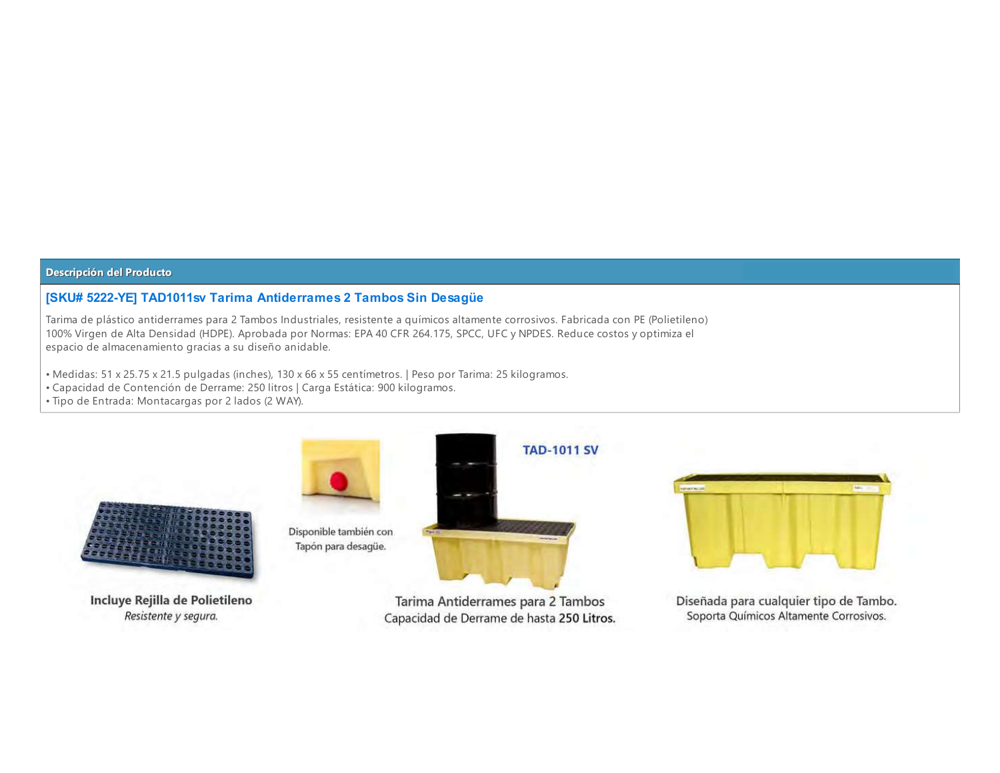### [SKU# 5222-YE] TAD1011sv Tarima Antiderrames 2 Tambos Sin Desagüe

Tarima de plástico antiderrames para 2 Tambos Industriales, resistente a químicos altamente corrosivos. Fabricada con PE (Polietileno) 100% Virgen de Alta Densidad (HDPE). Aprobada por Normas: EPA 40 CFR 264.175, SPCC, UFC y NPDES. Reduce costos y optimiza el espacio de almacenamiento gracias a su diseño anidable.

- Medidas: 51 x 25.75 x 21.5 pulgadas (inches), 130 x 66 x 55 centímetros. | Peso por Tarima: 25 kilogramos.
- Capacidad de Contención de Derrame: 250 litros | Carga Estática: 900 kilogramos.
- · Tipo de Entrada: Montacargas por 2 lados (2 WAY).



Incluye Rejilla de Polietileno Resistente y segura.



Tarima Antiderrames para 2 Tambos Capacidad de Derrame de hasta 250 Litros.



Diseñada para cualquier tipo de Tambo. Soporta Químicos Altamente Corrosivos.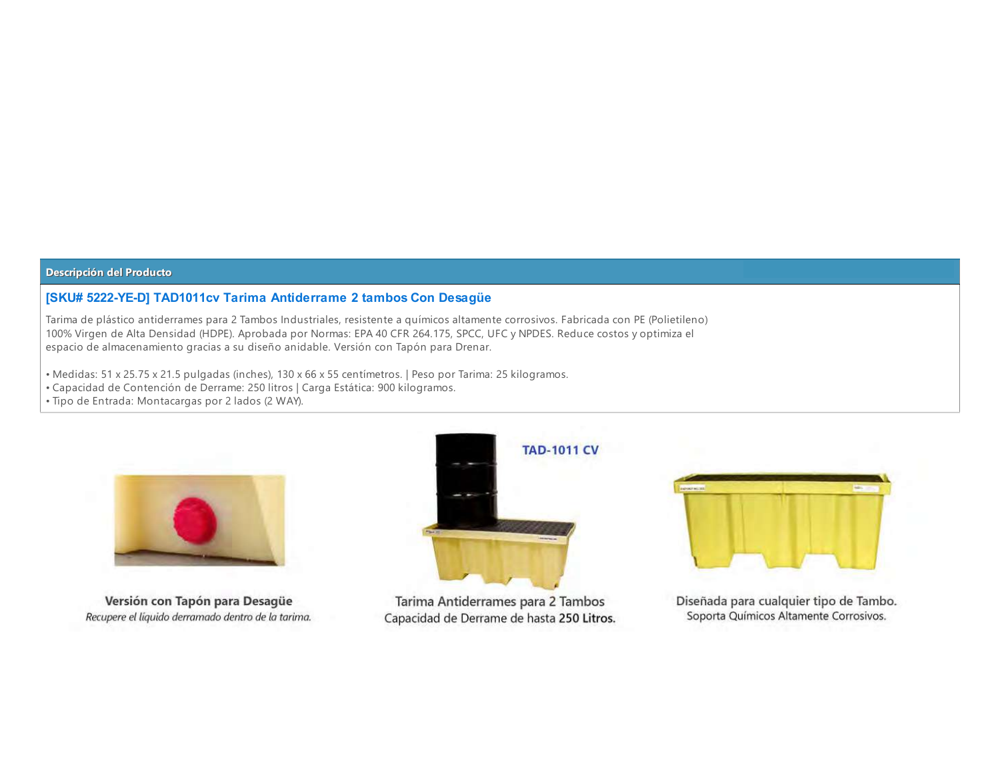### [SKU# 5222-YE-D] TAD1011cv Tarima Antiderrame 2 tambos Con Desagüe

Tarima de plástico antiderrames para 2 Tambos Industriales, resistente a químicos altamente corrosivos. Fabricada con PE (Polietileno) 100% Virgen de Alta Densidad (HDPE). Aprobada por Normas: EPA 40 CFR 264.175, SPCC, UFC y NPDES. Reduce costos y optimiza el espacio de almacenamiento gracias a su diseño anidable. Versión con Tapón para Drenar.

- Medidas: 51 x 25.75 x 21.5 pulgadas (inches), 130 x 66 x 55 centímetros. | Peso por Tarima: 25 kilogramos.
- Capacidad de Contención de Derrame: 250 litros | Carga Estática: 900 kilogramos.
- · Tipo de Entrada: Montacargas por 2 lados (2 WAY).



Versión con Tapón para Desagüe Recupere el líquido derramado dentro de la tarima.



Tarima Antiderrames para 2 Tambos Capacidad de Derrame de hasta 250 Litros.



Diseñada para cualquier tipo de Tambo. Soporta Químicos Altamente Corrosivos.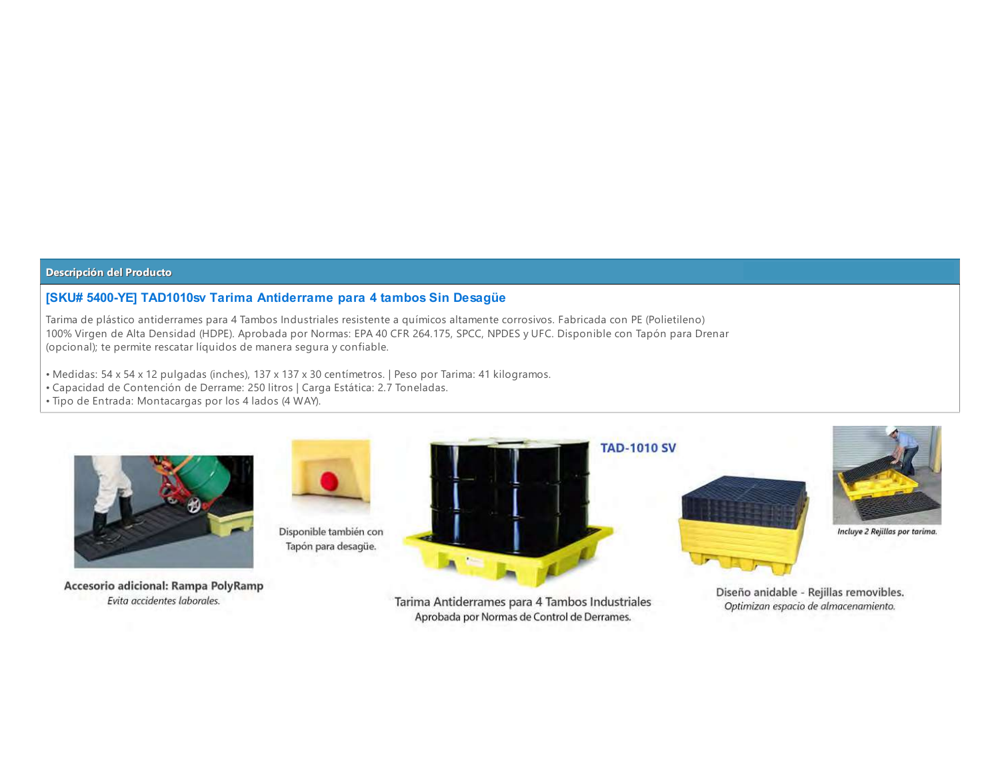### [SKU# 5400-YE] TAD1010sv Tarima Antiderrame para 4 tambos Sin Desagüe

Tarima de plástico antiderrames para 4 Tambos Industriales resistente a químicos altamente corrosivos. Fabricada con PE (Polietileno) 100% Virgen de Alta Densidad (HDPE). Aprobada por Normas: EPA 40 CFR 264.175, SPCC, NPDES y UFC. Disponible con Tapón para Drenar (opcional); te permite rescatar líquidos de manera segura y confiable.

- Medidas: 54 x 54 x 12 pulgadas (inches), 137 x 137 x 30 centímetros. | Peso por Tarima: 41 kilogramos.
- Capacidad de Contención de Derrame: 250 litros | Carga Estática: 2.7 Toneladas.
- · Tipo de Entrada: Montacargas por los 4 lados (4 WAY).



Disponible también con Tapón para desagüe.



Accesorio adicional: Rampa PolyRamp Evita accidentes laborales.

Tarima Antiderrames para 4 Tambos Industriales Aprobada por Normas de Control de Derrames.





Incluye 2 Rejillas por tarima.

Diseño anidable - Rejillas removibles. Optimizan espacio de almacenamiento.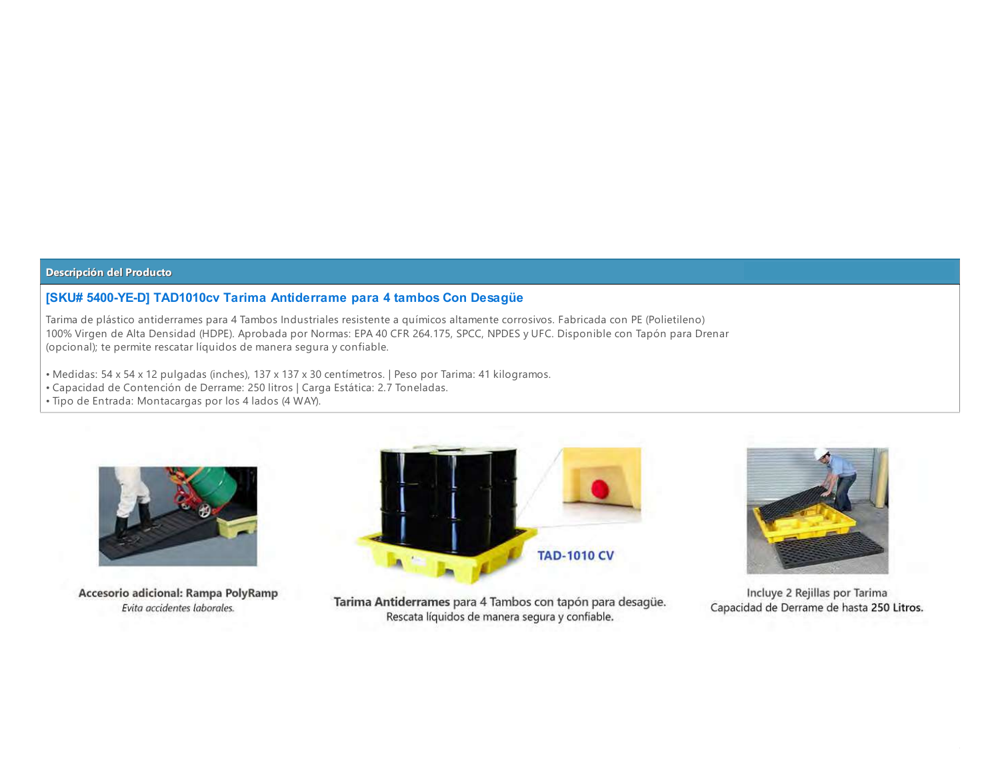### [SKU# 5400-YE-D] TAD1010cv Tarima Antiderrame para 4 tambos Con Desagüe

Tarima de plástico antiderrames para 4 Tambos Industriales resistente a químicos altamente corrosivos. Fabricada con PE (Polietileno) 100% Virgen de Alta Densidad (HDPE). Aprobada por Normas: EPA 40 CFR 264.175, SPCC, NPDES y UFC. Disponible con Tapón para Drenar (opcional); te permite rescatar líquidos de manera segura y confiable.

- Medidas: 54 x 54 x 12 pulgadas (inches), 137 x 137 x 30 centímetros. | Peso por Tarima: 41 kilogramos.
- Capacidad de Contención de Derrame: 250 litros | Carga Estática: 2.7 Toneladas.
- · Tipo de Entrada: Montacargas por los 4 lados (4 WAY).



Accesorio adicional: Rampa PolyRamp Evita accidentes laborales.



Tarima Antiderrames para 4 Tambos con tapón para desagüe. Rescata líquidos de manera segura y confiable.



Incluye 2 Rejillas por Tarima Capacidad de Derrame de hasta 250 Litros.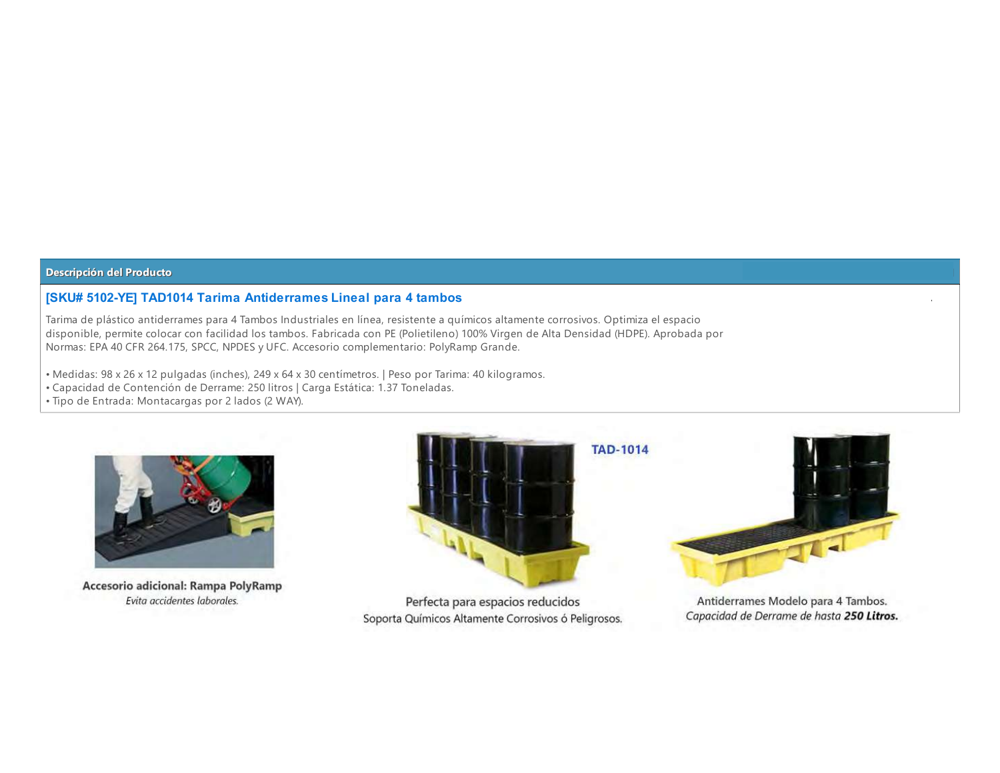### **[SKU# 5102-YE] TAD1014 Tarima Antiderrames Lineal para 4 tambos**

Tarima de plástico antiderrames para 4 Tambos Industriales en línea, resistente a químicos altamente corrosivos. Optimiza el espacio disponible, permite colocar con facilidad los tambos. Fabricada con PE (Polietileno) 100% Virgen de Alta Densidad (HDPE). Aprobada por Normas: EPA 40 CFR 264.175, SPCC, NPDES y UFC. Accesorio complementario: PolyRamp Grande.

- Medidas: 98 x 26 x 12 pulgadas (inches), 249 x 64 x 30 centímetros. | Peso por Tarima: 40 kilogramos.
- Capacidad de Contención de Derrame: 250 litros | Carga Estática: 1.37 Toneladas.
- · Tipo de Entrada: Montacargas por 2 lados (2 WAY).



Accesorio adicional: Rampa PolyRamp Evita accidentes laborales.



Perfecta para espacios reducidos Soporta Químicos Altamente Corrosivos ó Peligrosos.

Antiderrames Modelo para 4 Tambos. Capacidad de Derrame de hasta 250 Litros.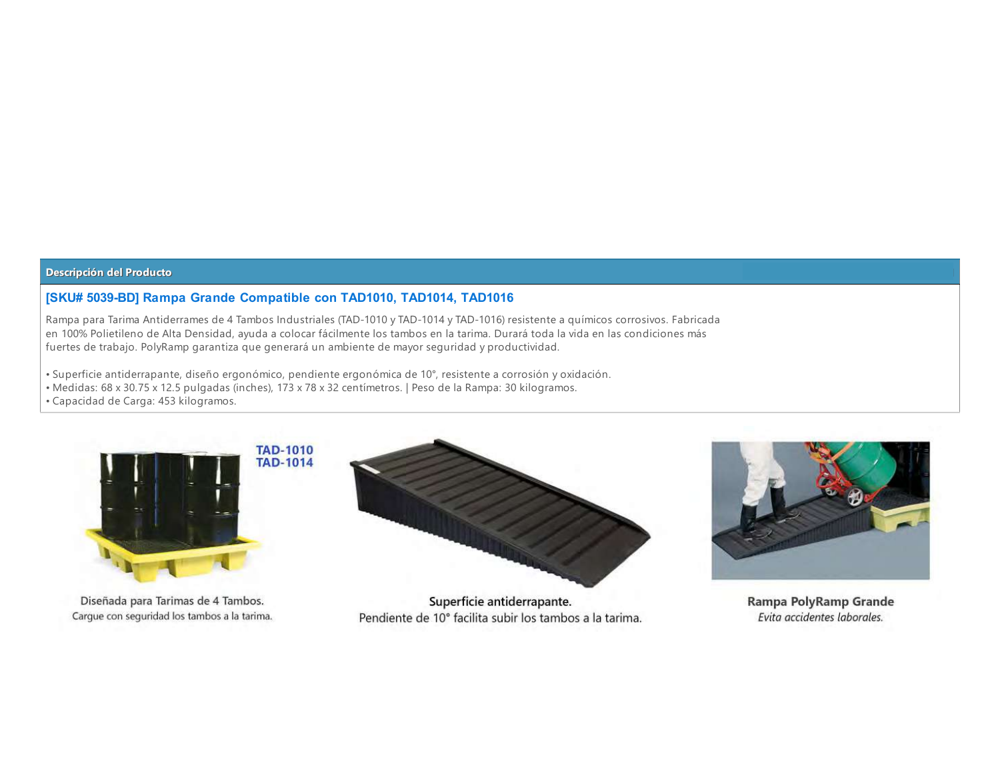### **[SKU# 5039-BD] Rampa Grande Compatible con TAD1010, TAD1014, TAD1016**

Rampa para Tarima Antiderrames de 4 Tambos Industriales (TAD-1010 y TAD-1014 y TAD-1016) resistente a químicos corrosivos. Fabricada en 100% Polietileno de Alta Densidad, ayuda a colocar fácilmente los tambos en la tarima. Durará toda la vida en las condiciones más fuertes de trabajo. PolyRamp garantiza que generará un ambiente de mayor seguridad y productividad.

· Superficie antiderrapante, diseño ergonómico, pendiente ergonómica de 10°, resistente a corrosión y oxidación.

· Medidas: 68 x 30.75 x 12.5 pulgadas (inches), 173 x 78 x 32 centímetros. | Peso de la Rampa: 30 kilogramos.

· Capacidad de Carga: 453 kilogramos.



Diseñada para Tarimas de 4 Tambos. Cargue con seguridad los tambos a la tarima.



Superficie antiderrapante. Pendiente de 10° facilita subir los tambos a la tarima.



Rampa PolyRamp Grande Evita accidentes laborales.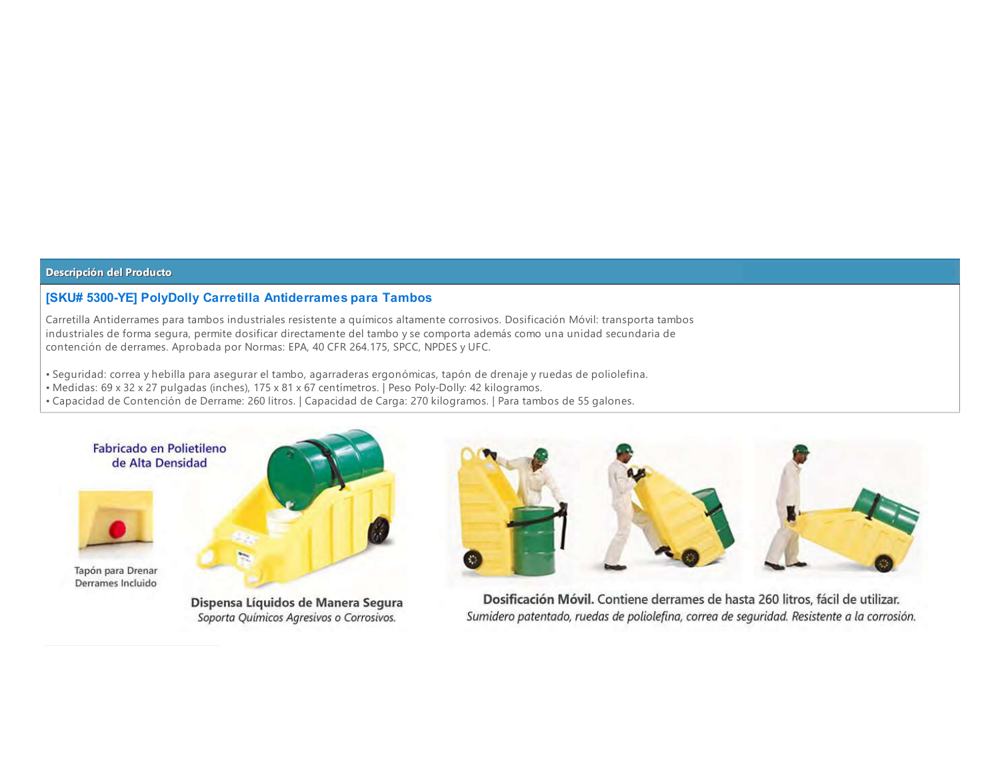## **[SKU# 5300-YE] PolyDolly Carretilla Antiderrames para Tambos**

Carretilla Antiderrames para tambos industriales resistente a químicos altamente corrosivos. Dosificación Móvil: transporta tambos industriales de forma segura, permite dosificar directamente del tambo y se comporta además como una unidad secundaria de contención de derrames. Aprobada por Normas: EPA, 40 CFR 264.175, SPCC, NPDES y UFC.

- · Seguridad: correa y hebilla para asegurar el tambo, agarraderas ergonómicas, tapón de drenaje y ruedas de poliolefina.
- Medidas: 69 x 32 x 27 pulgadas (inches), 175 x 81 x 67 centimetros. Peso Poly-Dolly: 42 kilogramos.
- Capacidad de Contención de Derrame: 260 litros. | Capacidad de Carga: 270 kilogramos. | Para tambos de 55 galones.



Tapón para Drenar Derrames Incluido



Dispensa Líquidos de Manera Segura Soporta Químicos Agresivos o Corrosivos.



Dosificación Móvil. Contiene derrames de hasta 260 litros, fácil de utilizar. Sumidero patentado, ruedas de poliolefina, correa de seguridad. Resistente a la corrosión.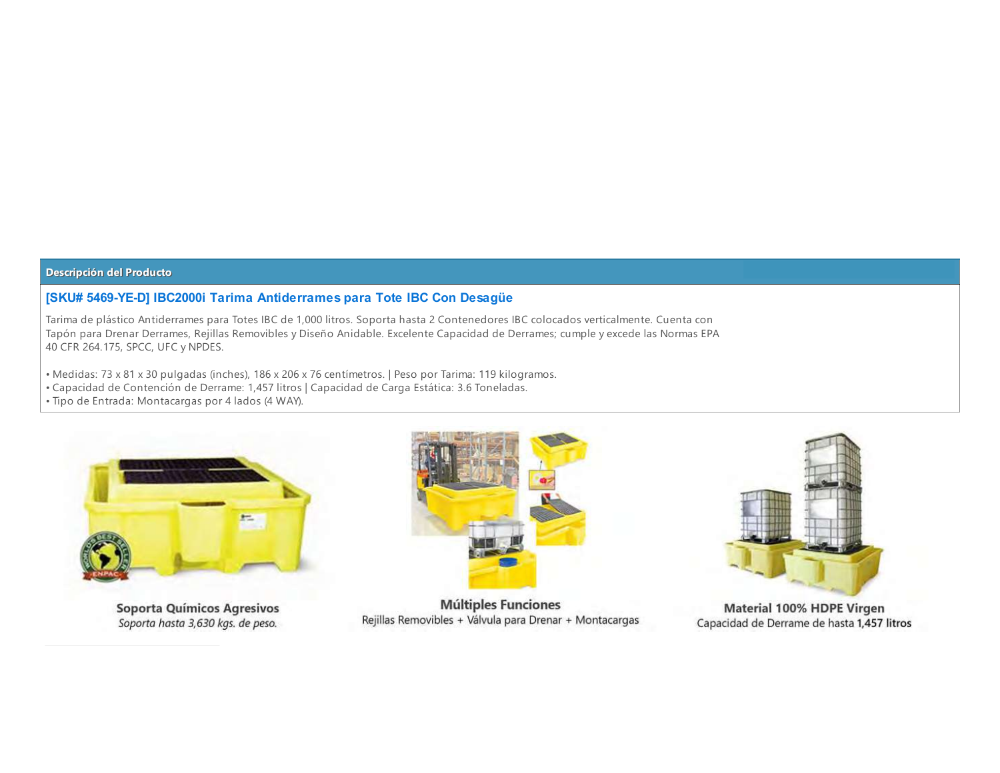## [SKU# 5469-YE-D] IBC2000i Tarima Antiderrames para Tote IBC Con Desagüe

Tarima de plástico Antiderrames para Totes IBC de 1,000 litros. Soporta hasta 2 Contenedores IBC colocados verticalmente. Cuenta con Tapón para Drenar Derrames, Rejillas Removibles y Diseño Anidable. Excelente Capacidad de Derrames; cumple y excede las Normas EPA 40 CFR 264.175, SPCC, UFC y NPDES.

- Medidas: 73 x 81 x 30 pulgadas (inches), 186 x 206 x 76 centímetros. | Peso por Tarima: 119 kilogramos.
- · Capacidad de Contención de Derrame: 1,457 litros | Capacidad de Carga Estática: 3.6 Toneladas.
- · Tipo de Entrada: Montacargas por 4 lados (4 WAY).



Soporta Químicos Agresivos Soporta hasta 3,630 kgs. de peso.



**Múltiples Funciones** Rejillas Removibles + Válvula para Drenar + Montacargas



Material 100% HDPE Virgen Capacidad de Derrame de hasta 1,457 litros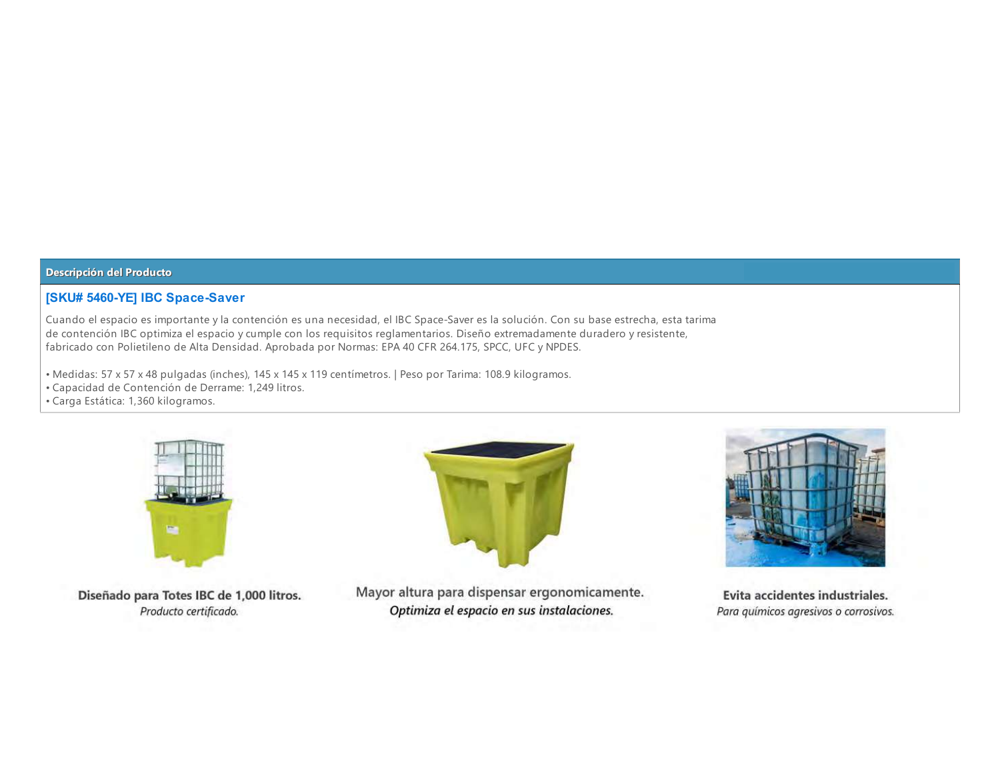## [SKU# 5460-YE] IBC Space-Saver

Cuando el espacio es importante y la contención es una necesidad, el IBC Space-Saver es la solución. Con su base estrecha, esta tarima de contención IBC optimiza el espacio y cumple con los requisitos reglamentarios. Diseño extremadamente duradero y resistente, fabricado con Polietileno de Alta Densidad. Aprobada por Normas: EPA 40 CFR 264.175, SPCC, UFC y NPDES.

- Medidas: 57 x 57 x 48 pulgadas (inches), 145 x 145 x 119 centímetros. | Peso por Tarima: 108.9 kilogramos.
- Capacidad de Contención de Derrame: 1,249 litros.
- · Carga Estática: 1,360 kilogramos.



Diseñado para Totes IBC de 1,000 litros. Producto certificado.



Mayor altura para dispensar ergonomicamente. Optimiza el espacio en sus instalaciones.



Evita accidentes industriales. Para químicos agresivos o corrosivos.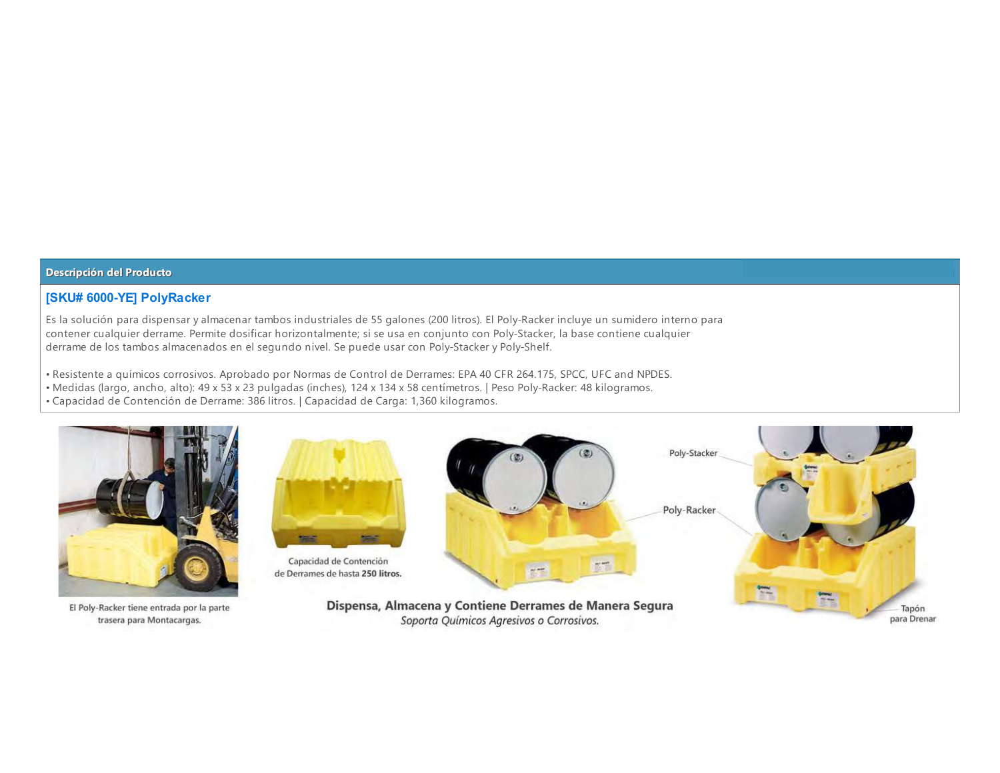## **[SKU# 6000-YE] PolyRacker**

Es la solución para dispensar y almacenar tambos industriales de 55 galones (200 litros). El Poly-Racker incluye un sumidero interno para contener cualquier derrame. Permite dosificar horizontalmente; si se usa en conjunto con Poly-Stacker, la base contiene cualquier derrame de los tambos almacenados en el segundo nivel. Se puede usar con Poly-Stacker y Poly-Shelf.

- · Resistente a químicos corrosivos. Aprobado por Normas de Control de Derrames: EPA 40 CFR 264.175, SPCC, UFC and NPDES.
- Medidas (largo, ancho, alto): 49 x 53 x 23 pulgadas (inches), 124 x 134 x 58 centímetros. | Peso Poly-Racker: 48 kilogramos.
- · Capacidad de Contención de Derrame: 386 litros. | Capacidad de Carga: 1,360 kilogramos.



El Poly-Racker tiene entrada por la parte trasera para Montacargas.



para Drenar

Soporta Químicos Agresivos o Corrosivos.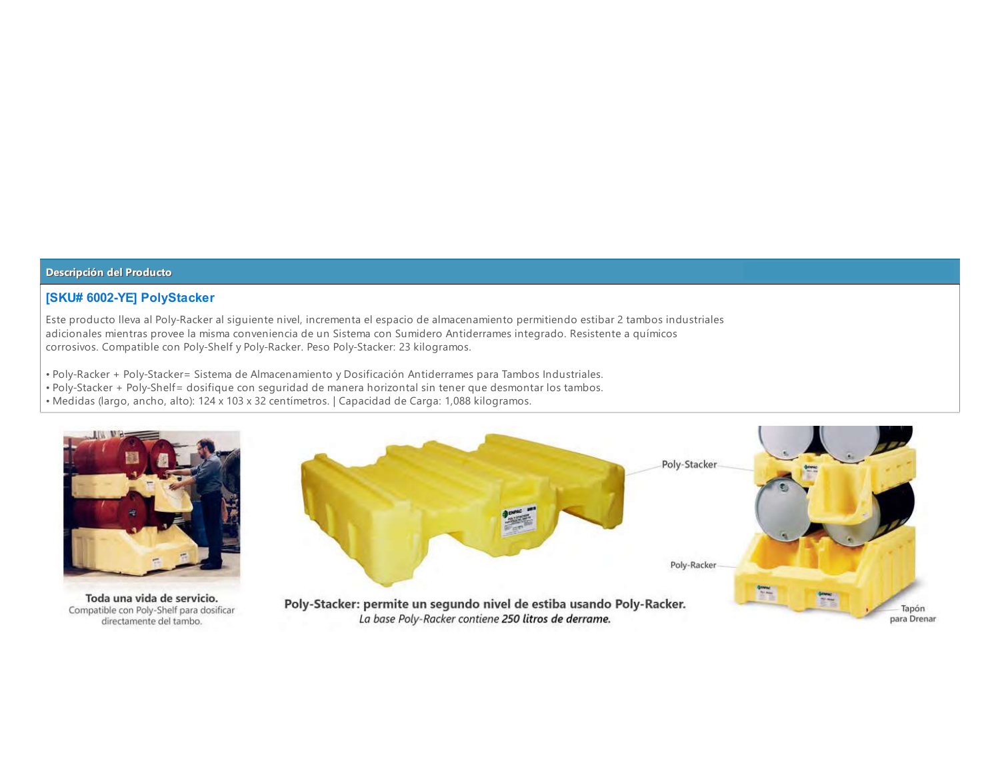## **[SKU# 6002-YE] PolyStacker**

Este producto lleva al Poly-Racker al siguiente nivel, incrementa el espacio de almacenamiento permitiendo estibar 2 tambos industriales adicionales mientras provee la misma conveniencia de un Sistema con Sumidero Antiderrames integrado. Resistente a químicos corrosivos. Compatible con Poly-Shelf y Poly-Racker. Peso Poly-Stacker: 23 kilogramos.

- · Poly-Racker + Poly-Stacker= Sistema de Almacenamiento y Dosificación Antiderrames para Tambos Industriales.
- . Poly-Stacker + Poly-Shelf= dosifique con sequridad de manera horizontal sin tener que desmontar los tambos.
- · Medidas (largo, ancho, alto): 124 x 103 x 32 centímetros. | Capacidad de Carga: 1,088 kilogramos.

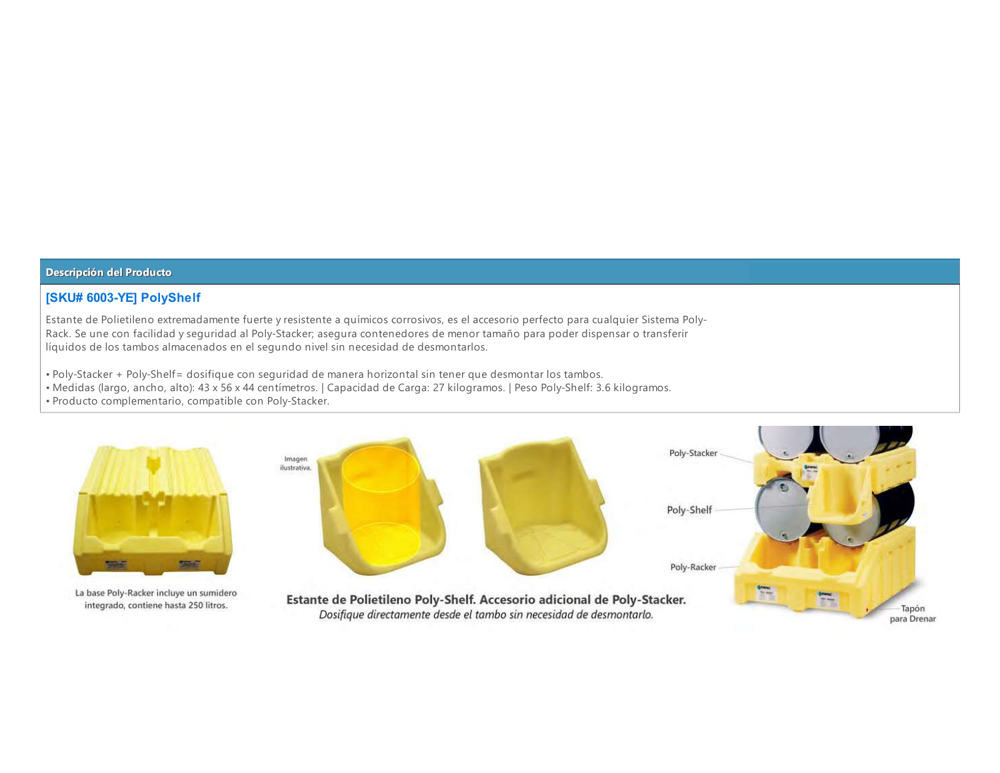### **[SKU# 6003-YE] PolyShelf**

Estante de Polietileno extremadamente fuerte y resistente a químicos corrosivos, es el accesorio perfecto para cualquier Sistema Poly-Rack. Se une con facilidad y seguridad al Poly-Stacker; asegura contenedores de menor tamaño para poder dispensar o transferir líquidos de los tambos almacenados en el segundo nivel sin necesidad de desmontarlos.

- . Poly-Stacker + Poly-Shelf= dosifique con sequridad de manera horizontal sin tener que desmontar los tambos.
- Medidas (largo, ancho, alto): 43 x 56 x 44 centímetros. | Capacidad de Carga: 27 kilogramos. | Peso Poly-Shelf: 3.6 kilogramos.
- · Producto complementario, compatible con Poly-Stacker.



La base Poly-Racker incluye un sumidero integrado, contiene hasta 250 litros.

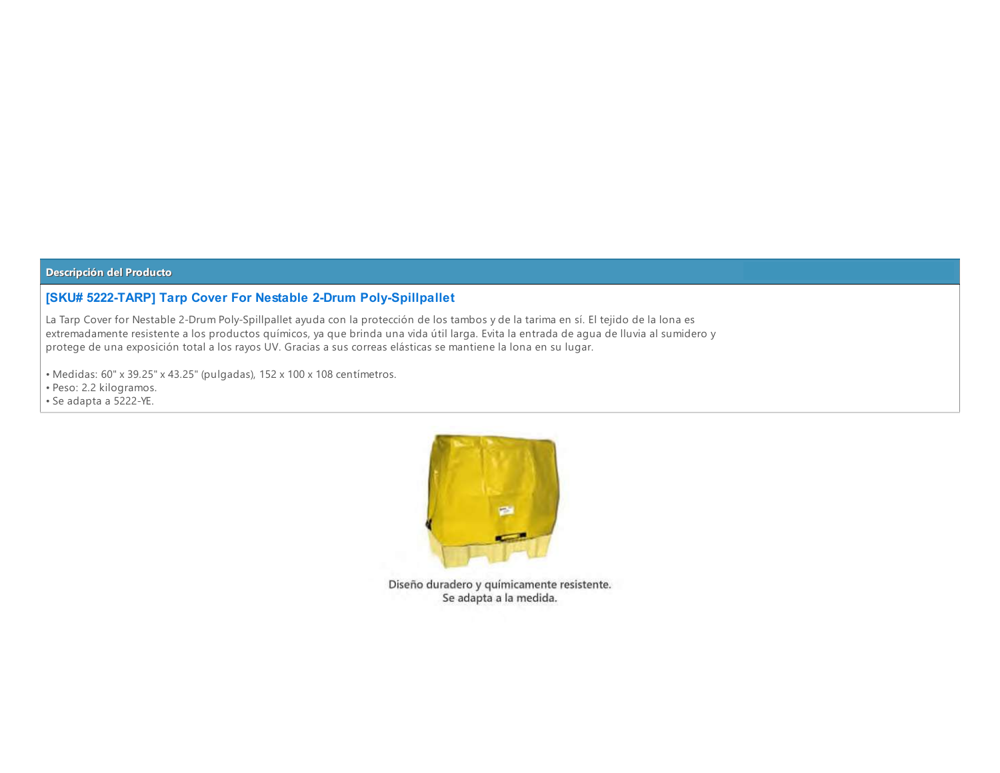# [SKU# 5222-TARP] Tarp Cover For Nestable 2-Drum Poly-Spillpallet

La Tarp Cover for Nestable 2-Drum Poly-Spillpallet ayuda con la protección de los tambos y de la tarima en sí. El tejido de la lona es extremadamente resistente a los productos químicos, ya que brinda una vida útil larga. Evita la entrada de agua de lluvia al sumidero y protege de una exposición total a los rayos UV. Gracias a sus correas elásticas se mantiene la lona en su lugar.

• Medidas: 60" x 39.25" x 43.25" (pulgadas), 152 x 100 x 108 centímetros.

· Peso: 2.2 kilogramos.

• Se adapta a 5222-YE.



Diseño duradero y químicamente resistente. Se adapta a la medida.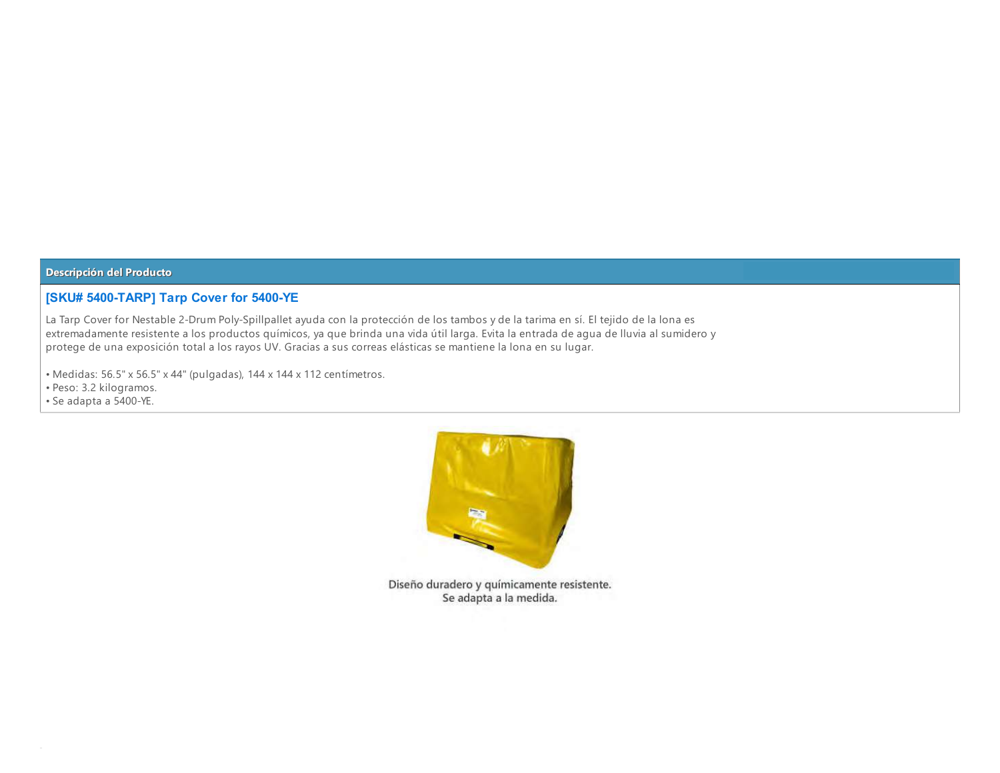## [SKU# 5400-TARP] Tarp Cover for 5400-YE

La Tarp Cover for Nestable 2-Drum Poly-Spillpallet ayuda con la protección de los tambos y de la tarima en sí. El tejido de la lona es extremadamente resistente a los productos químicos, ya que brinda una vida útil larga. Evita la entrada de agua de lluvia al sumidero y protege de una exposición total a los rayos UV. Gracias a sus correas elásticas se mantiene la lona en su lugar.

• Medidas: 56.5" x 56.5" x 44" (pulgadas), 144 x 144 x 112 centimetros.

· Peso: 3.2 kilogramos.

· Se adapta a 5400-YE.



Diseño duradero y químicamente resistente. Se adapta a la medida.